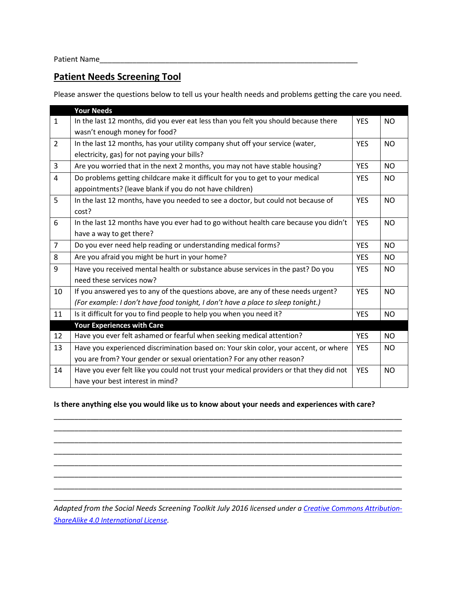Patient Name

## **Patient Needs Screening Tool**

Please answer the questions below to tell us your health needs and problems getting the care you need.

|                | <b>Your Needs</b>                                                                       |            |           |
|----------------|-----------------------------------------------------------------------------------------|------------|-----------|
| $\mathbf{1}$   | In the last 12 months, did you ever eat less than you felt you should because there     | <b>YES</b> | NO.       |
|                | wasn't enough money for food?                                                           |            |           |
| $\overline{2}$ | In the last 12 months, has your utility company shut off your service (water,           | <b>YES</b> | <b>NO</b> |
|                | electricity, gas) for not paying your bills?                                            |            |           |
| 3              | Are you worried that in the next 2 months, you may not have stable housing?             | <b>YES</b> | <b>NO</b> |
| 4              | Do problems getting childcare make it difficult for you to get to your medical          | <b>YES</b> | NO.       |
|                | appointments? (leave blank if you do not have children)                                 |            |           |
| 5              | In the last 12 months, have you needed to see a doctor, but could not because of        | <b>YES</b> | <b>NO</b> |
|                | cost?                                                                                   |            |           |
| 6              | In the last 12 months have you ever had to go without health care because you didn't    | <b>YES</b> | NO.       |
|                | have a way to get there?                                                                |            |           |
| $\overline{7}$ | Do you ever need help reading or understanding medical forms?                           | <b>YES</b> | <b>NO</b> |
| 8              | Are you afraid you might be hurt in your home?                                          | <b>YES</b> | <b>NO</b> |
| 9              | Have you received mental health or substance abuse services in the past? Do you         | <b>YES</b> | <b>NO</b> |
|                | need these services now?                                                                |            |           |
| 10             | If you answered yes to any of the questions above, are any of these needs urgent?       | <b>YES</b> | <b>NO</b> |
|                | (For example: I don't have food tonight, I don't have a place to sleep tonight.)        |            |           |
| 11             | Is it difficult for you to find people to help you when you need it?                    | <b>YES</b> | NO.       |
|                | <b>Your Experiences with Care</b>                                                       |            |           |
| 12             | Have you ever felt ashamed or fearful when seeking medical attention?                   | <b>YES</b> | <b>NO</b> |
| 13             | Have you experienced discrimination based on: Your skin color, your accent, or where    | <b>YES</b> | <b>NO</b> |
|                | you are from? Your gender or sexual orientation? For any other reason?                  |            |           |
| 14             | Have you ever felt like you could not trust your medical providers or that they did not | <b>YES</b> | NO        |
|                | have your best interest in mind?                                                        |            |           |

## **Is there anything else you would like us to know about your needs and experiences with care?**

\_\_\_\_\_\_\_\_\_\_\_\_\_\_\_\_\_\_\_\_\_\_\_\_\_\_\_\_\_\_\_\_\_\_\_\_\_\_\_\_\_\_\_\_\_\_\_\_\_\_\_\_\_\_\_\_\_\_\_\_\_\_\_\_\_\_\_\_\_\_\_\_\_\_\_\_\_\_\_\_\_\_\_\_\_ \_\_\_\_\_\_\_\_\_\_\_\_\_\_\_\_\_\_\_\_\_\_\_\_\_\_\_\_\_\_\_\_\_\_\_\_\_\_\_\_\_\_\_\_\_\_\_\_\_\_\_\_\_\_\_\_\_\_\_\_\_\_\_\_\_\_\_\_\_\_\_\_\_\_\_\_\_\_\_\_\_\_\_\_\_ \_\_\_\_\_\_\_\_\_\_\_\_\_\_\_\_\_\_\_\_\_\_\_\_\_\_\_\_\_\_\_\_\_\_\_\_\_\_\_\_\_\_\_\_\_\_\_\_\_\_\_\_\_\_\_\_\_\_\_\_\_\_\_\_\_\_\_\_\_\_\_\_\_\_\_\_\_\_\_\_\_\_\_\_\_ \_\_\_\_\_\_\_\_\_\_\_\_\_\_\_\_\_\_\_\_\_\_\_\_\_\_\_\_\_\_\_\_\_\_\_\_\_\_\_\_\_\_\_\_\_\_\_\_\_\_\_\_\_\_\_\_\_\_\_\_\_\_\_\_\_\_\_\_\_\_\_\_\_\_\_\_\_\_\_\_\_\_\_\_\_ \_\_\_\_\_\_\_\_\_\_\_\_\_\_\_\_\_\_\_\_\_\_\_\_\_\_\_\_\_\_\_\_\_\_\_\_\_\_\_\_\_\_\_\_\_\_\_\_\_\_\_\_\_\_\_\_\_\_\_\_\_\_\_\_\_\_\_\_\_\_\_\_\_\_\_\_\_\_\_\_\_\_\_\_\_ \_\_\_\_\_\_\_\_\_\_\_\_\_\_\_\_\_\_\_\_\_\_\_\_\_\_\_\_\_\_\_\_\_\_\_\_\_\_\_\_\_\_\_\_\_\_\_\_\_\_\_\_\_\_\_\_\_\_\_\_\_\_\_\_\_\_\_\_\_\_\_\_\_\_\_\_\_\_\_\_\_\_\_\_\_ \_\_\_\_\_\_\_\_\_\_\_\_\_\_\_\_\_\_\_\_\_\_\_\_\_\_\_\_\_\_\_\_\_\_\_\_\_\_\_\_\_\_\_\_\_\_\_\_\_\_\_\_\_\_\_\_\_\_\_\_\_\_\_\_\_\_\_\_\_\_\_\_\_\_\_\_\_\_\_\_\_\_\_\_\_ \_\_\_\_\_\_\_\_\_\_\_\_\_\_\_\_\_\_\_\_\_\_\_\_\_\_\_\_\_\_\_\_\_\_\_\_\_\_\_\_\_\_\_\_\_\_\_\_\_\_\_\_\_\_\_\_\_\_\_\_\_\_\_\_\_\_\_\_\_\_\_\_\_\_\_\_\_\_\_\_\_\_\_\_\_

*Adapted from the Social Needs Screening Toolkit July 2016 licensed under [a Creative Commons Attribution-](https://creativecommons.org/licenses/by-sa/4.0/)[ShareAlike 4.0 International License.](https://creativecommons.org/licenses/by-sa/4.0/)*